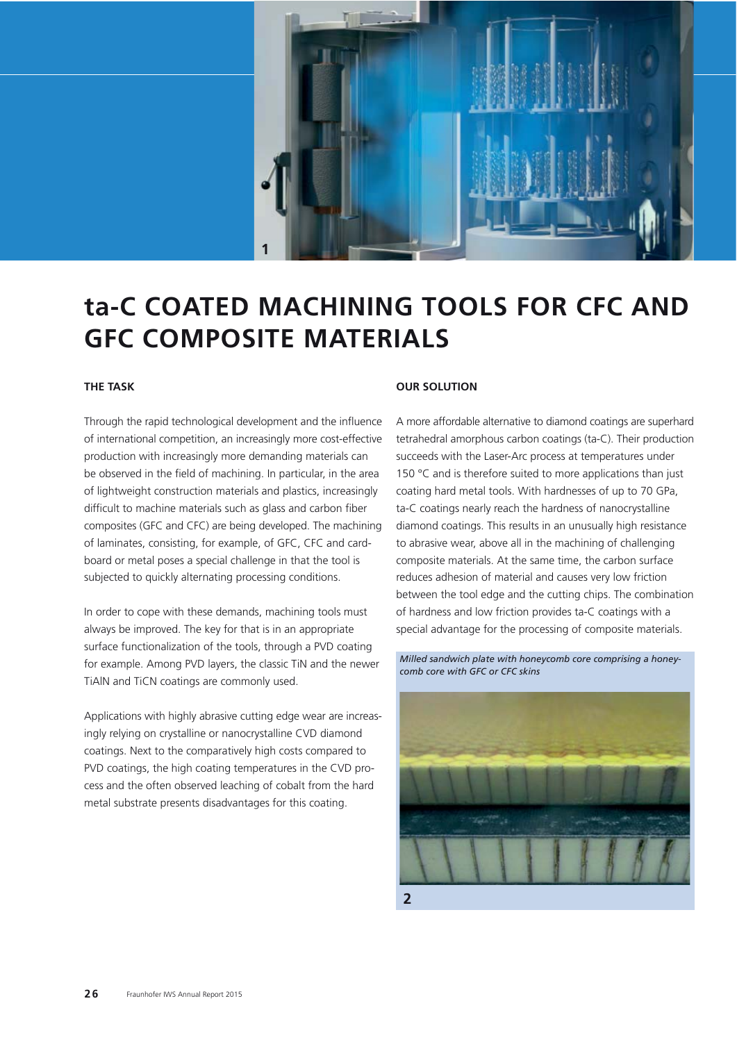

# **ta-C COATED MACHINING TOOLS FOR CFC AND GFC COMPOSITE MATERIALS**

### **THE TASK**

Through the rapid technological development and the influence of international competition, an increasingly more cost-effective production with increasingly more demanding materials can be observed in the field of machining. In particular, in the area of lightweight construction materials and plastics, increasingly difficult to machine materials such as glass and carbon fiber composites (GFC and CFC) are being developed. The machining of laminates, consisting, for example, of GFC, CFC and cardboard or metal poses a special challenge in that the tool is subjected to quickly alternating processing conditions.

In order to cope with these demands, machining tools must always be improved. The key for that is in an appropriate surface functionalization of the tools, through a PVD coating for example. Among PVD layers, the classic TiN and the newer TiAlN and TiCN coatings are commonly used.

Applications with highly abrasive cutting edge wear are increasingly relying on crystalline or nanocrystalline CVD diamond coatings. Next to the comparatively high costs compared to PVD coatings, the high coating temperatures in the CVD process and the often observed leaching of cobalt from the hard metal substrate presents disadvantages for this coating.

#### **OUR SOLUTION**

A more affordable alternative to diamond coatings are superhard tetrahedral amorphous carbon coatings (ta-C). Their production succeeds with the Laser-Arc process at temperatures under 150 °C and is therefore suited to more applications than just coating hard metal tools. With hardnesses of up to 70 GPa, ta-C coatings nearly reach the hardness of nanocrystalline diamond coatings. This results in an unusually high resistance to abrasive wear, above all in the machining of challenging composite materials. At the same time, the carbon surface reduces adhesion of material and causes very low friction between the tool edge and the cutting chips. The combination of hardness and low friction provides ta-C coatings with a special advantage for the processing of composite materials.

*Milled sandwich plate with honeycomb core comprising a honeycomb core with GFC or CFC skins*